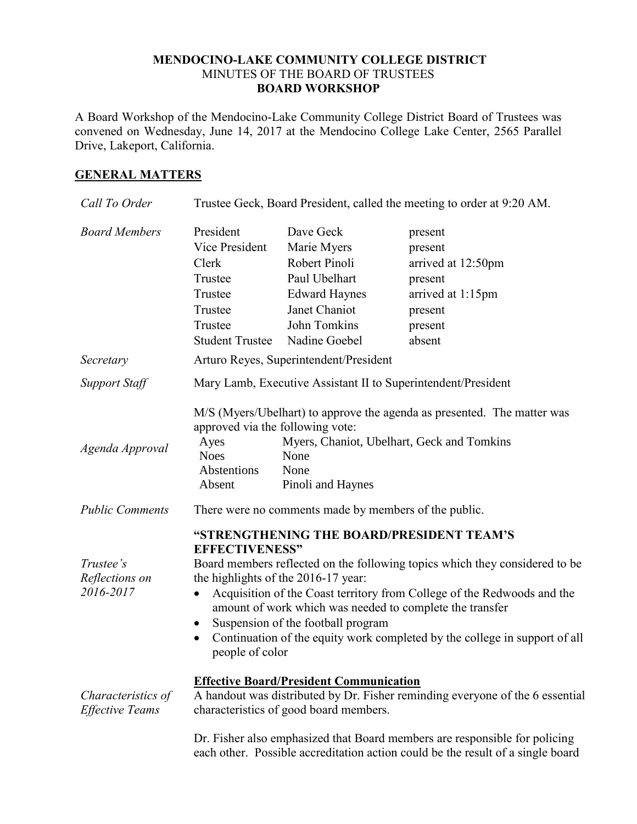## **MENDOCINO-LAKE COMMUNITY COLLEGE DISTRICT** MINUTES OF THE BOARD OF TRUSTEES **BOARD WORKSHOP**

A Board Workshop of the Mendocino-Lake Community College District Board of Trustees was convened on Wednesday, June 14, 2017 at the Mendocino College Lake Center, 2565 Parallel Drive, Lakeport, California.

## **GENERAL MATTERS**

| Call To Order                                | Trustee Geck, Board President, called the meeting to order at 9:20 AM.                                                                                                                                                                                                                                                                                                                                                                                                                           |                                                                                                                                      |                                                                                                                       |  |
|----------------------------------------------|--------------------------------------------------------------------------------------------------------------------------------------------------------------------------------------------------------------------------------------------------------------------------------------------------------------------------------------------------------------------------------------------------------------------------------------------------------------------------------------------------|--------------------------------------------------------------------------------------------------------------------------------------|-----------------------------------------------------------------------------------------------------------------------|--|
| <b>Board Members</b>                         | President<br>Vice President<br>Clerk<br>Trustee<br>Trustee<br>Trustee<br>Trustee<br><b>Student Trustee</b>                                                                                                                                                                                                                                                                                                                                                                                       | Dave Geck<br>Marie Myers<br>Robert Pinoli<br>Paul Ubelhart<br><b>Edward Haynes</b><br>Janet Chaniot<br>John Tomkins<br>Nadine Goebel | present<br>present<br>arrived at 12:50pm<br>present<br>arrived at 1:15pm<br>present<br>present<br>absent              |  |
| Secretary                                    | Arturo Reyes, Superintendent/President                                                                                                                                                                                                                                                                                                                                                                                                                                                           |                                                                                                                                      |                                                                                                                       |  |
| <b>Support Staff</b>                         | Mary Lamb, Executive Assistant II to Superintendent/President                                                                                                                                                                                                                                                                                                                                                                                                                                    |                                                                                                                                      |                                                                                                                       |  |
| Agenda Approval                              | approved via the following vote:<br>Ayes<br><b>Noes</b><br>Abstentions<br>Absent                                                                                                                                                                                                                                                                                                                                                                                                                 | None<br>None<br>Pinoli and Haynes                                                                                                    | M/S (Myers/Ubelhart) to approve the agenda as presented. The matter was<br>Myers, Chaniot, Ubelhart, Geck and Tomkins |  |
| <b>Public Comments</b>                       | There were no comments made by members of the public.                                                                                                                                                                                                                                                                                                                                                                                                                                            |                                                                                                                                      |                                                                                                                       |  |
| Trustee's<br>Reflections on<br>2016-2017     | "STRENGTHENING THE BOARD/PRESIDENT TEAM'S<br><b>EFFECTIVENESS"</b><br>Board members reflected on the following topics which they considered to be<br>the highlights of the 2016-17 year:<br>Acquisition of the Coast territory from College of the Redwoods and the<br>$\bullet$<br>amount of work which was needed to complete the transfer<br>Suspension of the football program<br>$\bullet$<br>Continuation of the equity work completed by the college in support of all<br>people of color |                                                                                                                                      |                                                                                                                       |  |
| Characteristics of<br><b>Effective Teams</b> | <b>Effective Board/President Communication</b><br>A handout was distributed by Dr. Fisher reminding everyone of the 6 essential<br>characteristics of good board members.                                                                                                                                                                                                                                                                                                                        |                                                                                                                                      |                                                                                                                       |  |
|                                              | Dr. Fisher also emphasized that Board members are responsible for policing<br>each other. Possible accreditation action could be the result of a single board                                                                                                                                                                                                                                                                                                                                    |                                                                                                                                      |                                                                                                                       |  |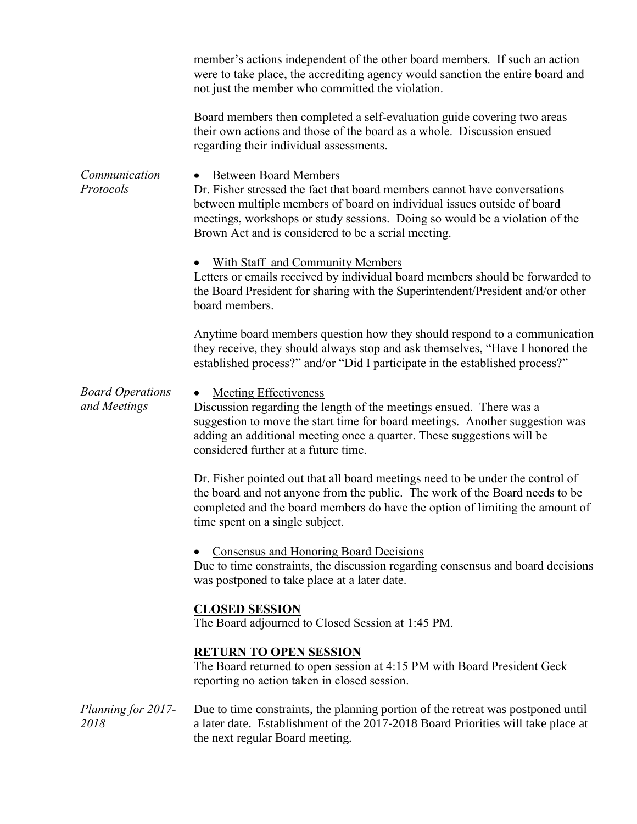|                                         | member's actions independent of the other board members. If such an action<br>were to take place, the accrediting agency would sanction the entire board and<br>not just the member who committed the violation.                                                                                                           |  |  |  |
|-----------------------------------------|----------------------------------------------------------------------------------------------------------------------------------------------------------------------------------------------------------------------------------------------------------------------------------------------------------------------------|--|--|--|
|                                         | Board members then completed a self-evaluation guide covering two areas –<br>their own actions and those of the board as a whole. Discussion ensued<br>regarding their individual assessments.                                                                                                                             |  |  |  |
| Communication<br>Protocols              | <b>Between Board Members</b><br>Dr. Fisher stressed the fact that board members cannot have conversations<br>between multiple members of board on individual issues outside of board<br>meetings, workshops or study sessions. Doing so would be a violation of the<br>Brown Act and is considered to be a serial meeting. |  |  |  |
|                                         | <b>With Staff and Community Members</b><br>Letters or emails received by individual board members should be forwarded to<br>the Board President for sharing with the Superintendent/President and/or other<br>board members.                                                                                               |  |  |  |
|                                         | Anytime board members question how they should respond to a communication<br>they receive, they should always stop and ask themselves, "Have I honored the<br>established process?" and/or "Did I participate in the established process?"                                                                                 |  |  |  |
| <b>Board Operations</b><br>and Meetings | <b>Meeting Effectiveness</b><br>Discussion regarding the length of the meetings ensued. There was a<br>suggestion to move the start time for board meetings. Another suggestion was<br>adding an additional meeting once a quarter. These suggestions will be<br>considered further at a future time.                      |  |  |  |
|                                         | Dr. Fisher pointed out that all board meetings need to be under the control of<br>the board and not anyone from the public. The work of the Board needs to be<br>completed and the board members do have the option of limiting the amount of<br>time spent on a single subject.                                           |  |  |  |
|                                         | <b>Consensus and Honoring Board Decisions</b><br>Due to time constraints, the discussion regarding consensus and board decisions<br>was postponed to take place at a later date.                                                                                                                                           |  |  |  |
|                                         | <b>CLOSED SESSION</b><br>The Board adjourned to Closed Session at 1:45 PM.                                                                                                                                                                                                                                                 |  |  |  |
|                                         | <b>RETURN TO OPEN SESSION</b><br>The Board returned to open session at 4:15 PM with Board President Geck<br>reporting no action taken in closed session.                                                                                                                                                                   |  |  |  |
| Planning for 2017-<br>2018              | Due to time constraints, the planning portion of the retreat was postponed until<br>a later date. Establishment of the 2017-2018 Board Priorities will take place at<br>the next regular Board meeting.                                                                                                                    |  |  |  |